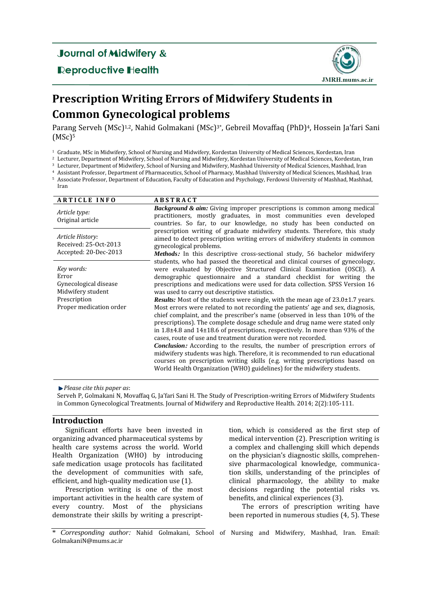## **Journal of Midwifery &**

### **Reproductive Health**



# **Prescription Writing Errors of Midwifery Students in Common Gynecological problems**

Parang Serveh (MSc)<sup>1,2</sup>, Nahid Golmakani (MSc)<sup>3\*</sup>, Gebreil Movaffaq (PhD)<sup>4</sup>, Hossein Ja'fari Sani (MSc) 5

<sup>1</sup> Graduate, MSc in Midwifery, School of Nursing and Midwifery, Kordestan University of Medical Sciences, Kordestan, Iran

<sup>2</sup> Lecturer, Department of Midwifery, School of Nursing and Midwifery, Kordestan University of Medical Sciences, Kordestan, Iran

<sup>3</sup> Lecturer, Department of Midwifery, School of Nursing and Midwifery, Mashhad University of Medical Sciences, Mashhad, Iran

<sup>4</sup> Assistant Professor, Department of Pharmaceutics, School of Pharmacy, Mashhad University of Medical Sciences, Mashhad, Iran

<sup>5</sup> Associate Professor, Department of Education, Faculty of Education and Psychology, Ferdowsi University of Mashhad, Mashhad, Iran

| <b>ARTICLE INFO</b>                                                                                          | <b>ABSTRACT</b>                                                                                                                                                                                                                                                                                                                                                                                                                                                                                                                                                                                                                                                                                                                                                                                                                                                                                                                                                                                                                                                                                                                                                                                          |
|--------------------------------------------------------------------------------------------------------------|----------------------------------------------------------------------------------------------------------------------------------------------------------------------------------------------------------------------------------------------------------------------------------------------------------------------------------------------------------------------------------------------------------------------------------------------------------------------------------------------------------------------------------------------------------------------------------------------------------------------------------------------------------------------------------------------------------------------------------------------------------------------------------------------------------------------------------------------------------------------------------------------------------------------------------------------------------------------------------------------------------------------------------------------------------------------------------------------------------------------------------------------------------------------------------------------------------|
| Article type:<br>Original article                                                                            | <b>Background &amp; aim:</b> Giving improper prescriptions is common among medical<br>practitioners, mostly graduates, in most communities even developed<br>countries. So far, to our knowledge, no study has been conducted on                                                                                                                                                                                                                                                                                                                                                                                                                                                                                                                                                                                                                                                                                                                                                                                                                                                                                                                                                                         |
| Article History:<br>Received: 25-Oct-2013<br>Accepted: 20-Dec-2013                                           | prescription writing of graduate midwifery students. Therefore, this study<br>aimed to detect prescription writing errors of midwifery students in common<br>gynecological problems.<br><i>Methods:</i> In this descriptive cross-sectional study, 56 bachelor midwifery                                                                                                                                                                                                                                                                                                                                                                                                                                                                                                                                                                                                                                                                                                                                                                                                                                                                                                                                 |
| Key words:<br>Error<br>Gynecological disease<br>Midwifery student<br>Prescription<br>Proper medication order | students, who had passed the theoretical and clinical courses of gynecology,<br>were evaluated by Objective Structured Clinical Examination (OSCE). A<br>demographic questionnaire and a standard checklist for writing the<br>prescriptions and medications were used for data collection. SPSS Version 16<br>was used to carry out descriptive statistics.<br><b>Results:</b> Most of the students were single, with the mean age of $23.0 \pm 1.7$ years.<br>Most errors were related to not recording the patients' age and sex, diagnosis,<br>chief complaint, and the prescriber's name (observed in less than 10% of the<br>prescriptions). The complete dosage schedule and drug name were stated only<br>in $1.8\pm4.8$ and $14\pm18.6$ of prescriptions, respectively. In more than 93% of the<br>cases, route of use and treatment duration were not recorded.<br><b>Conclusion:</b> According to the results, the number of prescription errors of<br>midwifery students was high. Therefore, it is recommended to run educational<br>courses on prescription writing skills (e.g. writing prescriptions based on<br>World Health Organization (WHO) guidelines) for the midwifery students. |

*Please cite this paper as*:

Serveh P, Golmakani N, Movaffaq G, Ja'fari Sani H. The Study of Prescription-writing Errors of Midwifery Students in Common Gynecological Treatments. Journal of Midwifery and Reproductive Health. 2014; 2(2):105-111.

#### **Introduction**

Significant efforts have been invested in organizing advanced pharmaceutical systems by health care systems across the world. World Health Organization (WHO) by introducing safe medication usage protocols has facilitated the development of communities with safe, efficient, and high-quality medication use (1).

Prescription writing is one of the most important activities in the health care system of every country. Most of the physicians demonstrate their skills by writing a prescripttion, which is considered as the first step of medical intervention (2). Prescription writing is a complex and challenging skill which depends on the physician's diagnostic skills, comprehensive pharmacological knowledge, communication skills, understanding of the principles of clinical pharmacology, the ability to make decisions regarding the potential risks vs. benefits, and clinical experiences (3).

The errors of prescription writing have been reported in numerous studies (4, 5). These

<sup>\*</sup> *Corresponding author:* Nahid Golmakani, School of Nursing and Midwifery, Mashhad, Iran. Email: GolmakaniN@mums.ac.ir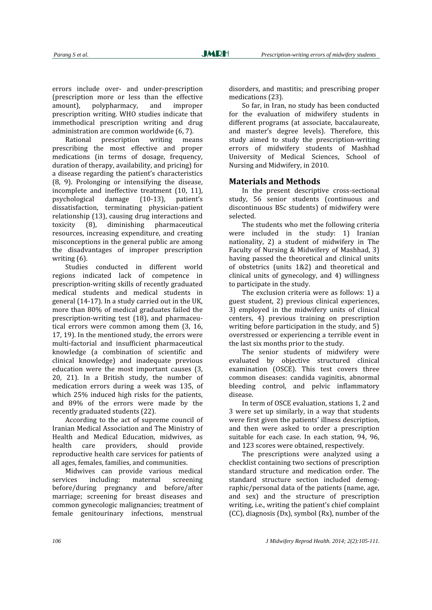errors include over- and under-prescription (prescription more or less than the effective amount), polypharmacy, and improper prescription writing. WHO studies indicate that immethodical prescription writing and drug administration are common worldwide (6, 7).

Rational prescription writing means prescribing the most effective and proper medications (in terms of dosage, frequency, duration of therapy, availability, and pricing) for a disease regarding the patient's characteristics (8, 9). Prolonging or intensifying the disease, incomplete and ineffective treatment (10, 11), psychological damage (10-13), patient's dissatisfaction, terminating physician-patient relationship (13), causing drug interactions and toxicity (8), diminishing pharmaceutical resources, increasing expenditure, and creating misconceptions in the general public are among the disadvantages of improper prescription writing (6).

Studies conducted in different world regions indicated lack of competence in prescription-writing skills of recently graduated medical students and medical students in general (14-17). In a study carried out in the UK, more than 80% of medical graduates failed the prescription-writing test (18), and pharmaceutical errors were common among them (3, 16, 17, 19). In the mentioned study, the errors were multi-factorial and insufficient pharmaceutical knowledge (a combination of scientific and clinical knowledge) and inadequate previous education were the most important causes (3, 20, 21). In a British study, the number of medication errors during a week was 135, of which 25% induced high risks for the patients, and 89% of the errors were made by the recently graduated students (22).

According to the act of supreme council of Iranian Medical Association and The Ministry of Health and Medical Education, midwives, as health care providers, should provide reproductive health care services for patients of all ages, females, families, and communities.

Midwives can provide various medical services including: maternal screening before/during pregnancy and before/after marriage; screening for breast diseases and common gynecologic malignancies; treatment of female genitourinary infections, menstrual

disorders, and mastitis; and prescribing proper medications (23).

So far, in Iran, no study has been conducted for the evaluation of midwifery students in different programs (at associate, baccalaureate, and master's degree levels). Therefore, this study aimed to study the prescription-writing errors of midwifery students of Mashhad University of Medical Sciences, School of Nursing and Midwifery, in 2010.

#### **Materials and Methods**

In the present descriptive cross-sectional study, 56 senior students (continuous and discontinuous BSc students) of midwifery were selected.

The students who met the following criteria were included in the study: 1) Iranian nationality, 2) a student of midwifery in The Faculty of Nursing & Midwifery of Mashhad, 3) having passed the theoretical and clinical units of obstetrics (units 1&2) and theoretical and clinical units of gynecology, and 4) willingness to participate in the study.

The exclusion criteria were as follows: 1) a guest student, 2) previous clinical experiences, 3) employed in the midwifery units of clinical centers, 4) previous training on prescription writing before participation in the study, and 5) overstressed or experiencing a terrible event in the last six months prior to the study.

The senior students of midwifery were evaluated by objective structured clinical examination (OSCE). This test covers three common diseases: candida vaginitis, abnormal bleeding control, and pelvic inflammatory disease.

In term of OSCE evaluation, stations 1, 2 and 3 were set up similarly, in a way that students were first given the patients' illness description, and then were asked to order a prescription suitable for each case. In each station, 94, 96, and 123 scores were obtained, respectively.

The prescriptions were analyzed using a checklist containing two sections of prescription standard structure and medication order. The standard structure section included demographic/personal data of the patients (name, age, and sex) and the structure of prescription writing, i.e., writing the patient's chief complaint (CC), diagnosis (Dx), symbol (Rx), number of the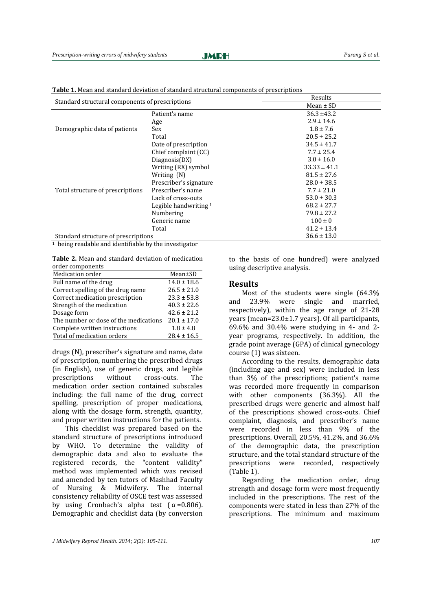#### **JMDH**

| Standard structural components of prescriptions |                         | Results          |
|-------------------------------------------------|-------------------------|------------------|
|                                                 |                         | Mean $\pm$ SD    |
|                                                 | Patient's name          | $36.3 \pm 43.2$  |
| Demographic data of patients                    | Age                     | $2.9 \pm 14.6$   |
|                                                 | Sex                     | $1.8 \pm 7.6$    |
|                                                 | Total                   | $20.5 \pm 25.2$  |
|                                                 | Date of prescription    | $34.5 \pm 41.7$  |
|                                                 | Chief complaint (CC)    | $7.7 \pm 25.4$   |
|                                                 | Diagnosis(DX)           | $3.0 \pm 16.0$   |
|                                                 | Writing (RX) symbol     | $33.33 \pm 41.1$ |
|                                                 | Writing (N)             | $81.5 \pm 27.6$  |
|                                                 | Prescriber's signature  | $28.0 \pm 38.5$  |
| Total structure of prescriptions                | Prescriber's name       | $7.7 \pm 21.0$   |
|                                                 | Lack of cross-outs      | $53.0 \pm 30.3$  |
|                                                 | Legible handwriting $1$ | $68.2 \pm 27.7$  |
|                                                 | Numbering               | $79.8 \pm 27.2$  |
|                                                 | Generic name            | $100 \pm 0$      |
|                                                 | Total                   | $41.2 \pm 13.4$  |
| Standard structure of prescriptions             |                         | $36.6 \pm 13.0$  |

**Table 1.** Mean and standard deviation of standard structural components of prescriptions

 $\frac{1}{1}$  being readable and identifiable by the investigator

**Table 2.** Mean and standard deviation of medication order components

| Medication order                      | Mean±SD         |  |
|---------------------------------------|-----------------|--|
| Full name of the drug                 | $14.0 \pm 18.6$ |  |
| Correct spelling of the drug name     | $26.5 \pm 21.0$ |  |
| Correct medication prescription       | $23.3 \pm 53.8$ |  |
| Strength of the medication            | $40.3 \pm 22.6$ |  |
| Dosage form                           | $42.6 \pm 21.2$ |  |
| The number or dose of the medications | $20.1 \pm 17.0$ |  |
| Complete written instructions         | $1.8 \pm 4.8$   |  |
| Total of medication orders            | $28.4 \pm 16.5$ |  |

drugs (N), prescriber's signature and name, date of prescription, numbering the prescribed drugs (in English), use of generic drugs, and legible prescriptions without cross-outs. The medication order section contained subscales including: the full name of the drug, correct spelling, prescription of proper medications, along with the dosage form, strength, quantity, and proper written instructions for the patients.

This checklist was prepared based on the standard structure of prescriptions introduced by WHO. To determine the validity of demographic data and also to evaluate the registered records, the "content validity" method was implemented which was revised and amended by ten tutors of Mashhad Faculty of Nursing & Midwifery. The internal consistency reliability of OSCE test was assessed by using Cronbach's alpha test  $(\alpha = 0.806)$ . Demographic and checklist data (by conversion to the basis of one hundred) were analyzed using descriptive analysis.

#### **Results**

Most of the students were single (64.3% and 23.9% were single and married, respectively), within the age range of 21-28 years (mean=23.0±1.7 years). Of all participants, 69.6% and 30.4% were studying in 4- and 2 year programs, respectively. In addition, the grade point average (GPA) of clinical gynecology course (1) was sixteen.

According to the results, demographic data (including age and sex) were included in less than 3% of the prescriptions; patient's name was recorded more frequently in comparison with other components (36.3%). All the prescribed drugs were generic and almost half of the prescriptions showed cross-outs. Chief complaint, diagnosis, and prescriber's name were recorded in less than 9% of the prescriptions. Overall, 20.5%, 41.2%, and 36.6% of the demographic data, the prescription structure, and the total standard structure of the prescriptions were recorded, respectively (Table 1).

Regarding the medication order, drug strength and dosage form were most frequently included in the prescriptions. The rest of the components were stated in less than 27% of the prescriptions. The minimum and maximum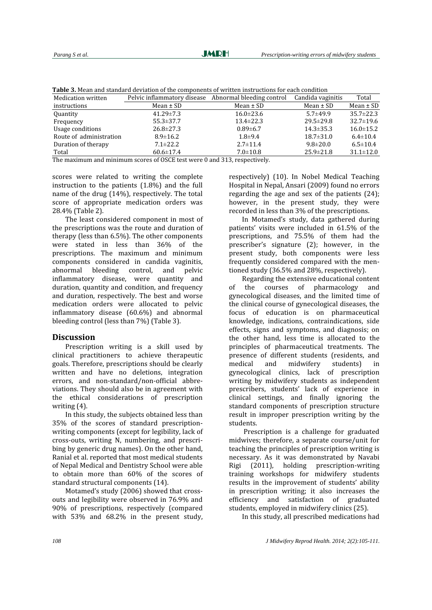| Tuble of Plean and Standard deviation of the components of written mstraetions for each condition |                                                       |                 |                   |                 |  |  |  |
|---------------------------------------------------------------------------------------------------|-------------------------------------------------------|-----------------|-------------------|-----------------|--|--|--|
| Medication written                                                                                | Pelvic inflammatory disease Abnormal bleeding control |                 | Candida vaginitis | Total           |  |  |  |
| instructions                                                                                      | Mean $\pm$ SD                                         | Mean $\pm$ SD   | Mean $\pm$ SD     | Mean $\pm$ SD   |  |  |  |
| Quantity                                                                                          | $41.29 \pm 7.3$                                       | $16.0 \pm 23.6$ | $5.7 + 49.9$      | $35.7 \pm 22.3$ |  |  |  |
| Frequency                                                                                         | $55.3 \pm 37.7$                                       | $13.4 \pm 22.3$ | $29.5 \pm 29.8$   | $32.7 \pm 19.6$ |  |  |  |
| Usage conditions                                                                                  | $26.8 \pm 27.3$                                       | $0.89 \pm 6.7$  | $14.3 \pm 35.3$   | $16.0 \pm 15.2$ |  |  |  |
| Route of administration                                                                           | $8.9 \pm 16.2$                                        | $1.8 + 9.4$     | $18.7 \pm 31.0$   | $6.4 \pm 10.4$  |  |  |  |
| Duration of therapy                                                                               | $7.1 \pm 22.2$                                        | $2.7 \pm 11.4$  | $9.8 \pm 20.0$    | $6.5 \pm 10.4$  |  |  |  |
| Total                                                                                             | $60.6 \pm 17.4$                                       | $7.0 \pm 10.8$  | $25.9 \pm 21.8$   | $31.1 \pm 12.0$ |  |  |  |
|                                                                                                   |                                                       |                 |                   |                 |  |  |  |

**Table 3.** Mean and standard deviation of the components of written instructions for each condition

The maximum and minimum scores of OSCE test were 0 and 313, respectively.

scores were related to writing the complete instruction to the patients (1.8%) and the full name of the drug (14%), respectively. The total score of appropriate medication orders was 28.4% (Table 2).

The least considered component in most of the prescriptions was the route and duration of therapy (less than 6.5%). The other components were stated in less than 36% of the prescriptions. The maximum and minimum components considered in candida vaginitis, abnormal bleeding control, and pelvic inflammatory disease, were quantity and duration, quantity and condition, and frequency and duration, respectively. The best and worse medication orders were allocated to pelvic inflammatory disease (60.6%) and abnormal bleeding control (less than 7%) (Table 3).

#### **Discussion**

Prescription writing is a skill used by clinical practitioners to achieve therapeutic goals. Therefore, prescriptions should be clearly written and have no deletions, integration errors, and non-standard/non-official abbreviations. They should also be in agreement with the ethical considerations of prescription writing (4).

In this study, the subjects obtained less than 35% of the scores of standard prescriptionwriting components (except for legibility, lack of cross-outs, writing N, numbering, and prescribing by generic drug names). On the other hand, Ranial et al. reported that most medical students of Nepal Medical and Dentistry School were able to obtain more than 60% of the scores of standard structural components (14).

Motamed's study (2006) showed that crossouts and legibility were observed in 76.9% and 90% of prescriptions, respectively (compared with 53% and 68.2% in the present study, respectively) (10). In Nobel Medical Teaching Hospital in Nepal, Ansari (2009) found no errors regarding the age and sex of the patients (24); however, in the present study, they were recorded in less than 3% of the prescriptions.

In Motamed's study, data gathered during patients' visits were included in 61.5% of the prescriptions, and 75.5% of them had the prescriber's signature (2); however, in the present study, both components were less frequently considered compared with the mentioned study (36.5% and 28%, respectively).

Regarding the extensive educational content of the courses of pharmacology and gynecological diseases, and the limited time of the clinical course of gynecological diseases, the focus of education is on pharmaceutical knowledge, indications, contraindications, side effects, signs and symptoms, and diagnosis; on the other hand, less time is allocated to the principles of pharmaceutical treatments. The presence of different students (residents, and medical and midwifery students) in gynecological clinics, lack of prescription writing by midwifery students as independent prescribers, students' lack of experience in clinical settings, and finally ignoring the standard components of prescription structure result in improper prescription writing by the students.

Prescription is a challenge for graduated midwives; therefore, a separate course/unit for teaching the principles of prescription writing is necessary. As it was demonstrated by Navabi Rigi (2011), holding prescription-writing training workshops for midwifery students results in the improvement of students' ability in prescription writing; it also increases the efficiency and satisfaction of graduated students, employed in midwifery clinics (25).

In this study, all prescribed medications had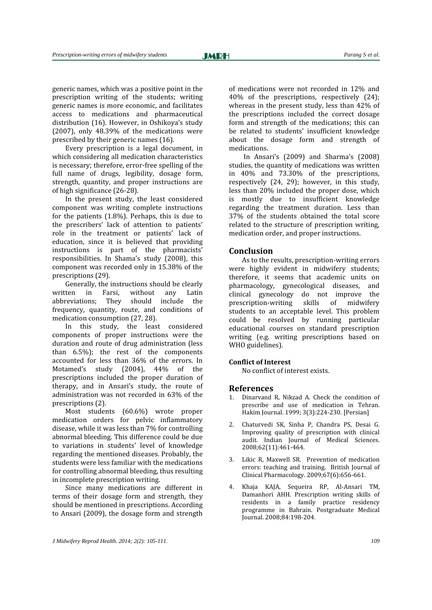generic names, which was a positive point in the prescription writing of the students; writing generic names is more economic, and facilitates access to medications and pharmaceutical distribution (16). However, in Oshikoya's study (2007), only 48.39% of the medications were prescribed by their generic names (16).

Every prescription is a legal document, in which considering all medication characteristics is necessary; therefore, error-free spelling of the full name of drugs, legibility, dosage form, strength, quantity, and proper instructions are of high significance (26-28).

In the present study, the least considered component was writing complete instructions for the patients (1.8%). Perhaps, this is due to the prescribers' lack of attention to patients' role in the treatment or patients' lack of education, since it is believed that providing instructions is part of the pharmacists' responsibilities. In Shama's study (2008), this component was recorded only in 15.38% of the prescriptions (29).

Generally, the instructions should be clearly written in Farsi, without any Latin abbreviations; They should include the frequency, quantity, route, and conditions of medication consumption (27, 28).

In this study, the least considered components of proper instructions were the duration and route of drug administration (less than 6.5%); the rest of the components accounted for less than 36% of the errors. In Motamed's study (2004), 44% of the prescriptions included the proper duration of therapy, and in Ansari's study, the route of administration was not recorded in 63% of the prescriptions (2).

Most students (60.6%) wrote proper medication orders for pelvic inflammatory disease, while it was less than 7% for controlling abnormal bleeding. This difference could be due to variations in students' level of knowledge regarding the mentioned diseases. Probably, the students were less familiar with the medications for controlling abnormal bleeding, thus resulting in incomplete prescription writing.

Since many medications are different in terms of their dosage form and strength, they should be mentioned in prescriptions. According to Ansari (2009), the dosage form and strength of medications were not recorded in 12% and 40% of the prescriptions, respectively (24); whereas in the present study, less than 42% of the prescriptions included the correct dosage form and strength of the medications; this can be related to students' insufficient knowledge about the dosage form and strength of medications.

In Ansari's (2009) and Sharma's (2008) studies, the quantity of medications was written in 40% and 73.30% of the prescriptions, respectively (24, 29); however, in this study, less than 20% included the proper dose, which is mostly due to insufficient knowledge regarding the treatment duration. Less than 37% of the students obtained the total score related to the structure of prescription writing, medication order, and proper instructions.

#### **Conclusion**

As to the results, prescription-writing errors were highly evident in midwifery students; therefore, it seems that academic units on pharmacology, gynecological diseases, and clinical gynecology do not improve the prescription-writing skills of midwifery students to an acceptable level. This problem could be resolved by running particular educational courses on standard prescription writing (e.g. writing prescriptions based on WHO guidelines).

#### **Conflict of Interest**

No conflict of interest exists.

#### **References**

- 1. Dinarvand R, Nikzad A. Check the condition of prescribe and use of medication in Tehran. Hakim Journal. 1999; 3(3):224-230. [Persian]
- 2. Chaturvedi SK, Sinha P, Chandra PS, Desai G. Improving quality of prescription with clinical audit. Indian Journal of Medical Sciences. 2008;62(11):461-464.
- 3. [Likic R,](http://www.ncbi.nlm.nih.gov/pubmed?term=%22Likic%20R%22%5BAuthor%5D) [Maxwell SR.](http://www.ncbi.nlm.nih.gov/pubmed?term=%22Maxwell%20SR%22%5BAuthor%5D) Prevention of medication errors: teaching and training. [British Journal of](javascript:AL_get(this,%20)  [Clinical Pharmacology.](javascript:AL_get(this,%20) 2009;67(6):656-661.
- 4. Khaja KAJA, Sequeira RP, Al-Ansari TM, Damanhori AHH. Prescription writing skills of residents in a family practice residency programme in Bahrain. [Postgraduate Medical](http://pmj.bmj.com/)  [Journal.](http://pmj.bmj.com/) 2008;84:198-204.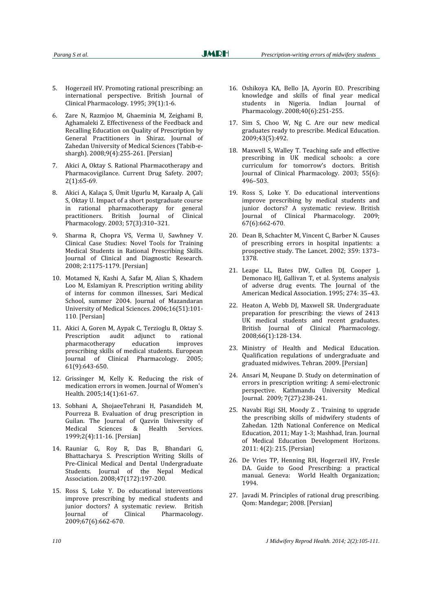- 5. Hogerzeil HV. Promoting rational prescribing: an international perspective. [British Journal of](javascript:AL_get(this,%20)  [Clinical Pharmacology.](javascript:AL_get(this,%20) 1995; 39(1):1-6.
- 6. Zare N, Razmjoo M, Ghaeminia M, Zeighami B, Aghamaleki Z. Effectiveness of the Feedback and Recalling Education on Quality of Prescription by General Practitioners in Shiraz. Journal of Zahedan University of Medical Sciences (Tabib-eshargh). 2008;9(4):255-261. [Persian]
- 7. Akici A, Oktay S. Rational Pharmacotherapy and Pharmacovigilance. Current Drug Safety. 2007; 2(1):65-69.
- 8. Akici A, Kalaça S, Ümit Ugurlu M, Karaalp A, Çali S, Oktay U. Impact of a short postgraduate course in rational pharmacotherapy for general practitioners. British Journal of Clinical Pharmacology. 2003; 57(3):310–321.
- 9. Sharma R, Chopra VS, Verma U, Sawhney V. Clinical Case Studies: Novel Tools for Training Medical Students in Rational Prescribing Skills. Journal of Clinical and Diagnostic Research. 2008; 2:1175-1179. [Persian]
- 10. Motamed N, Kashi A, Safar M, Alian S, Khadem Loo M, Eslamiyan R. Prescription writing ability of interns for common illnesses, Sari Medical School, summer 2004. Journal of Mazandaran University of Medical Sciences. 2006;16(51):101- 110. [Persian]
- 11. Akici A, Goren M, Aypak C, Terzioglu B, Oktay S. [Prescription audit adjunct to rational](http://link.springer.com/article/10.1007/s00228-005-0960-3)  [pharmacotherapy education improves](http://link.springer.com/article/10.1007/s00228-005-0960-3)  [prescribing skills of medical students.](http://link.springer.com/article/10.1007/s00228-005-0960-3) [European](http://link.springer.com/journal/228)  [Journal of Clinical Pharmacology.](http://link.springer.com/journal/228) 2005; 61(9):643-650.
- 12. Grissinger M, Kelly K. Reducing the risk of medication errors in women. Journal of Women's Health. 2005;14(1):61-67.
- 13. Sobhani A, ShojaeeTehrani H, Pasandideh M, Pourreza B. Evaluation of drug prescription in Guilan. The Journal of Qazvin University of Medical Sciences & Health Services. 1999;2(4):11-16. [Persian]
- 14. Rauniar G, Roy R, Das B, Bhandari G, Bhattacharya S. Prescription Writing Skills of Pre-Clinical Medical and Dental Undergraduate Students. [Journal of the Nepal Medical](http://www.cabdirect.org/search.html?q=do%3A%22JNMA%2C+Journal+of+the+Nepal+Medical+Association%22)  [Association.](http://www.cabdirect.org/search.html?q=do%3A%22JNMA%2C+Journal+of+the+Nepal+Medical+Association%22) 2008;47(172):197-200.
- 15. Ross S, Loke Y. Do educational interventions improve prescribing by medical students and junior doctors? A systematic review. [British](javascript:AL_get(this,%20)  [Journal of Clinical Pharmacology.](javascript:AL_get(this,%20) 2009;67(6):662-670.
- 16. Oshikoya KA, Bello JA, Ayorin EO. Prescribing knowledge and skills of final year medical students in Nigeria. Indian Journal of Pharmacology. 2008;40(6):251-255.
- 17. Sim S, Choo W, Ng C. Are our new medical graduates ready to prescribe. Medical Education. 2009;43(5):492.
- 18. Maxwell S, Walley T. Teaching safe and effective prescribing in UK medical schools: a core curriculum for tomorrow's doctors. British Journal of Clinical Pharmacology. 2003; 55(6): 496–503.
- 19. Ross S, Loke Y. Do educational interventions improve prescribing by medical students and junior doctors? A systematic review. British Journal of Clinical Pharmacology. 2009; 67(6):662-670.
- 20. Dean B, Schachter M, Vincent C, Barber N. Causes of prescribing errors in hospital inpatients: a prospective study. The Lancet. 2002; 359: 1373– 1378.
- 21. Leape LL, Bates DW, Cullen DJ, Cooper J, Demonaco HJ, Gallivan T, et al. Systems analysis of adverse drug events. The Journal of the American Medical Association. 1995; 274: 35–43.
- 22. [Heaton A,](http://www.ncbi.nlm.nih.gov/pubmed?term=%22Heaton%20A%22%5BAuthor%5D&itool=EntrezSystem2.PEntrez.Pubmed.Pubmed_ResultsPanel.Pubmed_RVAbstract) [Webb DJ,](http://www.ncbi.nlm.nih.gov/pubmed?term=%22Webb%20DJ%22%5BAuthor%5D&itool=EntrezSystem2.PEntrez.Pubmed.Pubmed_ResultsPanel.Pubmed_RVAbstract) [Maxwell SR.](http://www.ncbi.nlm.nih.gov/pubmed?term=%22Maxwell%20SR%22%5BAuthor%5D&itool=EntrezSystem2.PEntrez.Pubmed.Pubmed_ResultsPanel.Pubmed_RVAbstract) Undergraduate preparation for prescribing: the views of 2413 UK medical students and recent graduates. British Journal of Clinical Pharmacology. 2008;66(1):128-134.
- 23. Ministry of Health and Medical Education. Qualification regulations of undergraduate and graduated midwives. Tehran. 2009. [Persian]
- 24. [Ansari M,](http://www.ncbi.nlm.nih.gov/pubmed?term=%22Ansari%20M%22%5BAuthor%5D) [Neupane D.](http://www.ncbi.nlm.nih.gov/pubmed?term=%22Neupane%20D%22%5BAuthor%5D) Study on determination of errors in prescription writing: A semi-electronic perspective. Kathmandu University Medical Journal. 2009; 7(27):238-241.
- 25. Navabi Rigi SH, Moody Z . Training to upgrade the prescribing skills of midwifery students of Zahedan. 12th National Conference on Medical Education, 2011; May 1-3; Mashhad, Iran. Journal of Medical Education Development Horizons. 2011: 4(2): 215. [Persian]
- 26. [De Vries TP,](http://www.ncbi.nlm.nih.gov/pubmed?term=%22de%20Vries%20TP%22%5BAuthor%5D&itool=EntrezSystem2.PEntrez.Pubmed.Pubmed_ResultsPanel.Pubmed_RVAbstract) Henning RH, Hogerzeil HV, Fresle DA. Guide to Good Prescribing: a practical manual. Geneva: World Health Organization; 1994.
- 27. Javadi M. Principles of rational drug prescribing. Qom: Mandegar; 2008. [Persian]

*110 J Midwifery Reprod Health. 2014; 2(2):105-111.*